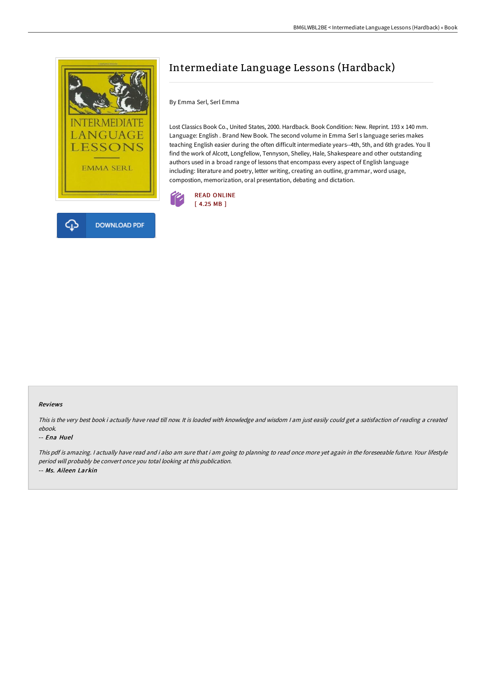

# Intermediate Language Lessons (Hardback)

By Emma Serl, Serl Emma

Lost Classics Book Co., United States, 2000. Hardback. Book Condition: New. Reprint. 193 x 140 mm. Language: English . Brand New Book. The second volume in Emma Serl s language series makes teaching English easier during the often difficult intermediate years--4th, 5th, and 6th grades. You ll find the work of Alcott, Longfellow, Tennyson, Shelley, Hale, Shakespeare and other outstanding authors used in a broad range of lessons that encompass every aspect of English language including: literature and poetry, letter writing, creating an outline, grammar, word usage, compostion, memorization, oral presentation, debating and dictation.



#### Reviews

This is the very best book i actually have read till now. It is loaded with knowledge and wisdom <sup>I</sup> am just easily could get <sup>a</sup> satisfaction of reading <sup>a</sup> created ebook.

#### -- Ena Huel

This pdf is amazing. <sup>I</sup> actually have read and i also am sure that i am going to planning to read once more yet again in the foreseeable future. Your lifestyle period will probably be convert once you total looking at this publication. -- Ms. Aileen Larkin